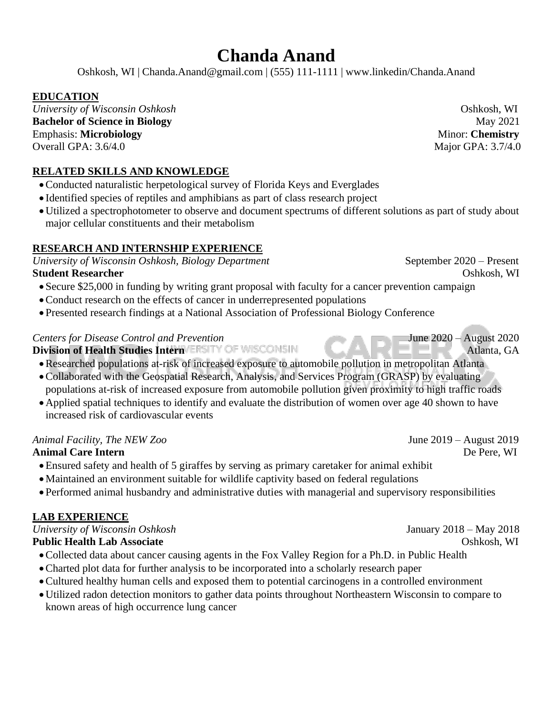# **Chanda Anand**

Oshkosh, WI | Chanda.Anand@gmail.com | (555) 111-1111 | www.linkedin/Chanda.Anand

# **EDUCATION**

*University of Wisconsin Oshkosh*  $\blacksquare$ **Bachelor of Science in Biology** May 2021 Emphasis: **Microbiology** Minor: **Chemistry**  Overall GPA: 3.6/4.0 Major GPA: 3.7/4.0

**RELATED SKILLS AND KNOWLEDGE** 

- •Conducted naturalistic herpetological survey of Florida Keys and Everglades
- Identified species of reptiles and amphibians as part of class research project
- •Utilized a spectrophotometer to observe and document spectrums of different solutions as part of study about major cellular constituents and their metabolism

# **RESEARCH AND INTERNSHIP EXPERIENCE**

*University of Wisconsin Oshkosh, Biology Department* September 2020 – Present **Student Researcher Community Community Community Community Community Community Community Community Community Community Community Community Community Community Community Community Community Community Community Community Co** 

- Secure \$25,000 in funding by writing grant proposal with faculty for a cancer prevention campaign
- •Conduct research on the effects of cancer in underrepresented populations
- Presented research findings at a National Association of Professional Biology Conference

# *Centers for Disease Control and Prevention* June 2020 – August 2020

**Division of Health Studies Intern VERSITY OF WISCONSIN** 

- •Researched populations at-risk of increased exposure to automobile pollution in metropolitan Atlanta
- •Collaborated with the Geospatial Research, Analysis, and Services Program (GRASP) by evaluating populations at-risk of increased exposure from automobile pollution given proximity to high traffic roads
- •Applied spatial techniques to identify and evaluate the distribution of women over age 40 shown to have increased risk of cardiovascular events

# *Animal Facility, The NEW Zoo*June 2019 – August 2019

- •Ensured safety and health of 5 giraffes by serving as primary caretaker for animal exhibit
- •Maintained an environment suitable for wildlife captivity based on federal regulations
- Performed animal husbandry and administrative duties with managerial and supervisory responsibilities

# **LAB EXPERIENCE**

*University of Wisconsin Oshkosh* January 2018 – May 2018 **Public Health Lab Associate** Oshkosh, WI

- •Collected data about cancer causing agents in the Fox Valley Region for a Ph.D. in Public Health
- •Charted plot data for further analysis to be incorporated into a scholarly research paper
- •Cultured healthy human cells and exposed them to potential carcinogens in a controlled environment
- •Utilized radon detection monitors to gather data points throughout Northeastern Wisconsin to compare to known areas of high occurrence lung cancer

**Animal Care Intern** De Pere, WI